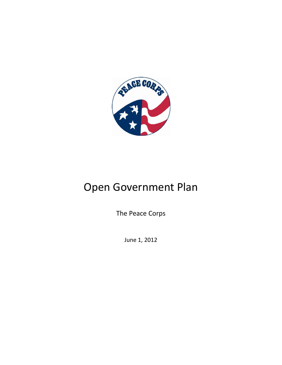

# Open Government Plan

The Peace Corps

June 1, 2012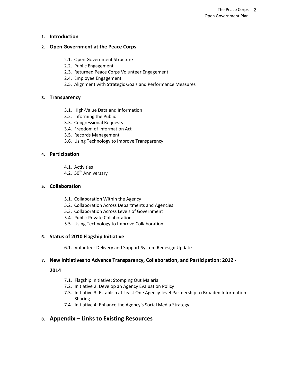### **1. Introduction**

### **2. Open Government at the Peace Corps**

- 2.1. Open Government Structure
- 2.2. Public Engagement
- 2.3. Returned Peace Corps Volunteer Engagement
- 2.4. Employee Engagement
- 2.5. Alignment with Strategic Goals and Performance Measures

### **3. Transparency**

- 3.1. High-Value Data and Information
- 3.2. Informing the Public
- 3.3. Congressional Requests
- 3.4. Freedom of Information Act
- 3.5. Records Management
- 3.6. Using Technology to Improve Transparency

### **4. Participation**

- 4.1. Activities
- 4.2. 50<sup>th</sup> Anniversary

### **5. Collaboration**

- 5.1. Collaboration Within the Agency
- 5.2. Collaboration Across Departments and Agencies
- 5.3. Collaboration Across Levels of Government
- 5.4. Public-Private Collaboration
- 5.5. Using Technology to Improve Collaboration

### **6. Status of 2010 Flagship Initiative**

6.1. Volunteer Delivery and Support System Redesign Update

### **7. New Initiatives to Advance Transparency, Collaboration, and Participation: 2012 -**

### **2014**

- 7.1. Flagship Initiative: Stomping Out Malaria
- 7.2. Initiative 2: Develop an Agency Evaluation Policy
- 7.3. Initiative 3: Establish at Least One Agency-level Partnership to Broaden Information Sharing
- 7.4. Initiative 4: Enhance the Agency's Social Media Strategy

### **8. Appendix – Links to Existing Resources**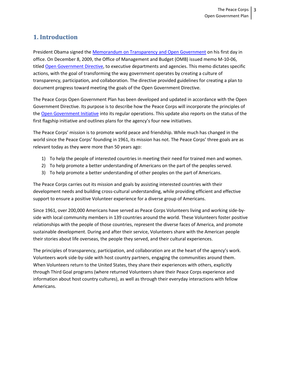# **1. Introduction**

President Obama signed the [Memorandum on Transparency and Open Government](http://www.whitehouse.gov/the_press_office/TransparencyandOpenGovernment/) on his first day in office. On December 8, 2009, the Office of Management and Budget (OMB) issued memo M-10-06, titled [Open Government Directive,](http://www.whitehouse.gov/open/documents/open-government-directive) to executive departments and agencies. This memo dictates specific actions, with the goal of transforming the way government operates by creating a culture of transparency, participation, and collaboration. The directive provided guidelines for creating a plan to document progress toward meeting the goals of the Open Government Directive.

The Peace Corps Open Government Plan has been developed and updated in accordance with the Open Government Directive. Its purpose is to describe how the Peace Corps will incorporate the principles of th[e Open Government Initiative](http://www.whitehouse.gov/open) into its regular operations. This update also reports on the status of the first flagship initiative and outlines plans for the agency's four new initiatives.

The Peace Corps' mission is to promote world peace and friendship. While much has changed in the world since the Peace Corps' founding in 1961, its mission has not. The Peace Corps' three goals are as relevant today as they were more than 50 years ago:

- 1) To help the people of interested countries in meeting their need for trained men and women.
- 2) To help promote a better understanding of Americans on the part of the peoples served.
- 3) To help promote a better understanding of other peoples on the part of Americans.

The Peace Corps carries out its mission and goals by assisting interested countries with their development needs and building cross-cultural understanding, while providing efficient and effective support to ensure a positive Volunteer experience for a diverse group of Americans.

Since 1961, over 200,000 Americans have served as Peace Corps Volunteers living and working side-byside with local community members in 139 countries around the world. These Volunteers foster positive relationships with the people of those countries, represent the diverse faces of America, and promote sustainable development. During and after their service, Volunteers share with the American people their stories about life overseas, the people they served, and their cultural experiences.

The principles of transparency, participation, and collaboration are at the heart of the agency's work. Volunteers work side-by-side with host country partners, engaging the communities around them. When Volunteers return to the United States, they share their experiences with others, explicitly through Third Goal programs (where returned Volunteers share their Peace Corps experience and information about host country cultures), as well as through their everyday interactions with fellow Americans.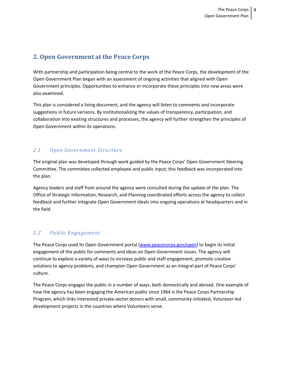# **2. Open Government at the Peace Corps**

With partnership and participation being central to the work of the Peace Corps, the development of the Open Government Plan began with an assessment of ongoing activities that aligned with Open Government principles. Opportunities to enhance or incorporate these principles into new areas were also examined.

This plan is considered a living document, and the agency will listen to comments and incorporate suggestions in future versions. By institutionalizing the values of transparency, participation, and collaboration into existing structures and processes, the agency will further strengthen the principles of Open Government within its operations.

# *2.1 Open Government Structure*

The original plan was developed through work guided by the Peace Corps' Open Government Steering Committee. The committee collected employee and public input; this feedback was incorporated into the plan.

Agency leaders and staff from around the agency were consulted during the update of the plan. The Office of Strategic Information, Research, and Planning coordinated efforts across the agency to collect feedback and further integrate Open Government ideals into ongoing operations at headquarters and in the field.

# *2.2 Public Engagement*

The Peace Corps used its Open Government portal [\(www.peacecorps.gov/open\)](http://www.peacecorps.gov/open) to begin its initial engagement of the public for comments and ideas on Open Government issues. The agency will continue to explore a variety of ways to increase public and staff engagement, promote creative solutions to agency problems, and champion Open Government as an integral part of Peace Corps' culture.

The Peace Corps engages the public in a number of ways, both domestically and abroad. One example of how the agency has been engaging the American public since 1964 is the Peace Corps Partnership Program, which links interested private-sector donors with small, community-initiated, Volunteer-led development projects in the countries where Volunteers serve.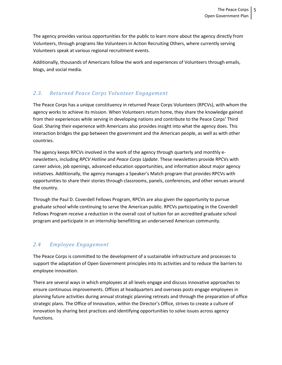The agency provides various opportunities for the public to learn more about the agency directly from Volunteers, through programs like Volunteers in Action Recruiting Others, where currently serving Volunteers speak at various regional recruitment events.

Additionally, thousands of Americans follow the work and experiences of Volunteers through emails, blogs, and social media.

### *2.3. Returned Peace Corps Volunteer Engagement*

The Peace Corps has a unique constituency in returned Peace Corps Volunteers (RPCVs), with whom the agency works to achieve its mission. When Volunteers return home, they share the knowledge gained from their experiences while serving in developing nations and contribute to the Peace Corps' Third Goal. Sharing their experience with Americans also provides insight into what the agency does. This interaction bridges the gap between the government and the American people, as well as with other countries.

The agency keeps RPCVs involved in the work of the agency through quarterly and monthly enewsletters, including *RPCV Hotline* and *Peace Corps Update*. These newsletters provide RPCVs with career advice, job openings, advanced education opportunities, and information about major agency initiatives. Additionally, the agency manages a Speaker's Match program that provides RPCVs with opportunities to share their stories through classrooms, panels, conferences, and other venues around the country.

Through the Paul D. Coverdell Fellows Program, RPCVs are also given the opportunity to pursue graduate school while continuing to serve the American public. RPCVs participating in the Coverdell Fellows Program receive a reduction in the overall cost of tuition for an accredited graduate school program and participate in an internship benefitting an underserved American community.

# *2.4 Employee Engagement*

The Peace Corps is committed to the development of a sustainable infrastructure and processes to support the adaptation of Open Government principles into its activities and to reduce the barriers to employee innovation.

There are several ways in which employees at all levels engage and discuss innovative approaches to ensure continuous improvements. Offices at headquarters and overseas posts engage employees in planning future activities during annual strategic planning retreats and through the preparation of office strategic plans. The Office of Innovation, within the Director's Office, strives to create a culture of innovation by sharing best practices and identifying opportunities to solve issues across agency functions.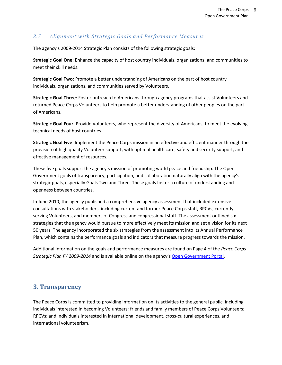## *2.5 Alignment with Strategic Goals and Performance Measures*

The agency's 2009-2014 Strategic Plan consists of the following strategic goals:

**Strategic Goal One**: Enhance the capacity of host country individuals, organizations, and communities to meet their skill needs.

**Strategic Goal Two**: Promote a better understanding of Americans on the part of host country individuals, organizations, and communities served by Volunteers.

**Strategic Goal Three**: Foster outreach to Americans through agency programs that assist Volunteers and returned Peace Corps Volunteers to help promote a better understanding of other peoples on the part of Americans.

**Strategic Goal Four**: Provide Volunteers, who represent the diversity of Americans, to meet the evolving technical needs of host countries.

**Strategic Goal Five**: Implement the Peace Corps mission in an effective and efficient manner through the provision of high quality Volunteer support, with optimal health care, safety and security support, and effective management of resources.

These five goals support the agency's mission of promoting world peace and friendship. The Open Government goals of transparency, participation, and collaboration naturally align with the agency's strategic goals, especially Goals Two and Three. These goals foster a culture of understanding and openness between countries.

In June 2010, the agency published a comprehensive agency assessment that included extensive consultations with stakeholders, including current and former Peace Corps staff, RPCVs, currently serving Volunteers, and members of Congress and congressional staff. The assessment outlined six strategies that the agency would pursue to more effectively meet its mission and set a vision for its next 50 years. The agency incorporated the six strategies from the assessment into its Annual Performance Plan, which contains the performance goals and indicators that measure progress towards the mission.

Additional information on the goals and performance measures are found on Page 4 of the *Peace Corps Strategic Plan FY 2009-2014* and is available online on the agency's [Open Government Portal.](http://www.peacecorps.gov/open)

# **3. Transparency**

The Peace Corps is committed to providing information on its activities to the general public, including individuals interested in becoming Volunteers; friends and family members of Peace Corps Volunteers; RPCVs; and individuals interested in international development, cross-cultural experiences, and international volunteerism.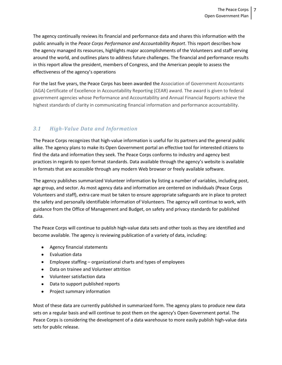The agency continually reviews its financial and performance data and shares this information with the public annually in the *Peace Corps Performance and Accountability Report*. This report describes how the agency managed its resources, highlights major accomplishments of the Volunteers and staff serving around the world, and outlines plans to address future challenges. The financial and performance results in this report allow the president, members of Congress, and the American people to assess the effectiveness of the agency's operations

For the last five years, the Peace Corps has been awarded the Association of Government Accountants (AGA) Certificate of Excellence in Accountability Reporting (CEAR) award. The award is given to federal government agencies whose Performance and Accountability and Annual Financial Reports achieve the highest standards of clarity in communicating financial information and performance accountability.

## *3.1 High-Value Data and Information*

The Peace Corps recognizes that high-value information is useful for its partners and the general public alike. The agency plans to make its Open Government portal an effective tool for interested citizens to find the data and information they seek. The Peace Corps conforms to industry and agency best practices in regards to open format standards. Data available through the agency's website is available in formats that are accessible through any modern Web browser or freely available software.

The agency publishes summarized Volunteer information by listing a number of variables, including post, age group, and sector. As most agency data and information are centered on individuals (Peace Corps Volunteers and staff), extra care must be taken to ensure appropriate safeguards are in place to protect the safety and personally identifiable information of Volunteers. The agency will continue to work, with guidance from the Office of Management and Budget, on safety and privacy standards for published data.

The Peace Corps will continue to publish high-value data sets and other tools as they are identified and become available. The agency is reviewing publication of a variety of data, including:

- Agency financial statements
- $\bullet$  Fyaluation data
- Employee staffing organizational charts and types of employees
- Data on trainee and Volunteer attrition
- Volunteer satisfaction data
- Data to support published reports  $\bullet$
- Project summary information

Most of these data are currently published in summarized form. The agency plans to produce new data sets on a regular basis and will continue to post them on the agency's Open Government portal. The Peace Corps is considering the development of a data warehouse to more easily publish high-value data sets for public release.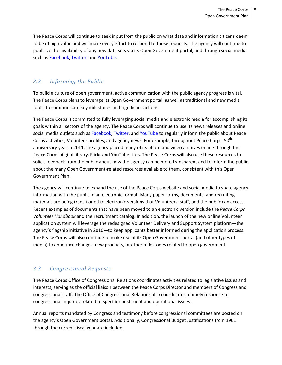The Peace Corps will continue to seek input from the public on what data and information citizens deem to be of high value and will make every effort to respond to those requests. The agency will continue to publicize the availability of any new data sets via its Open Government portal, and through social media such as [Facebook,](http://www.facebook.com/peacecorps) [Twitter,](http://twitter.com/peacecorps) and [YouTube.](http://www.youtube.com/peacecorps)

## *3.2 Informing the Public*

To build a culture of open government, active communication with the public agency progress is vital. The Peace Corps plans to leverage its Open Government portal, as well as traditional and new media tools, to communicate key milestones and significant actions.

The Peace Corps is committed to fully leveraging social media and electronic media for accomplishing its goals within all sectors of the agency. The Peace Corps will continue to use its news releases and online social media outlets such a[s Facebook,](http://www.facebook.com/peacecorps) [Twitter,](http://twitter.com/peacecorps) an[d YouTube](http://www.youtube.com/peacecorps) to regularly inform the public about Peace Corps activities, Volunteer profiles, and agency news. For example, throughout Peace Corps' 50<sup>th</sup> anniversary year in 2011, the agency placed many of its photo and video archives online through the Peace Corps' digital library, Flickr and YouTube sites. The Peace Corps will also use these resources to solicit feedback from the public about how the agency can be more transparent and to inform the public about the many Open Government-related resources available to them, consistent with this Open Government Plan.

The agency will continue to expand the use of the Peace Corps website and social media to share agency information with the public in an electronic format. Many paper forms, documents, and recruiting materials are being transitioned to electronic versions that Volunteers, staff, and the public can access. Recent examples of documents that have been moved to an electronic version include the *Peace Corps Volunteer Handbook* and the recruitment catalog. In addition, the launch of the new online Volunteer application system will leverage the redesigned Volunteer Delivery and Support System platform—the agency's flagship initiative in 2010—to keep applicants better informed during the application process. The Peace Corps will also continue to make use of its Open Government portal (and other types of media) to announce changes, new products, or other milestones related to open government.

### *3.3 Congressional Requests*

The Peace Corps Office of Congressional Relations coordinates activities related to legislative issues and interests, serving as the official liaison between the Peace Corps Director and members of Congress and congressional staff. The Office of Congressional Relations also coordinates a timely response to congressional inquiries related to specific constituent and operational issues.

Annual reports mandated by Congress and testimony before congressional committees are posted on the agency's Open Government portal. Additionally, Congressional Budget Justifications from 1961 through the current fiscal year are included.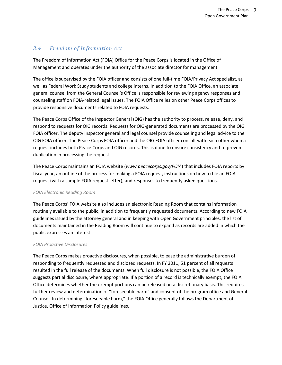### *3.4 Freedom of Information Act*

The Freedom of Information Act (FOIA) Office for the Peace Corps is located in the Office of Management and operates under the authority of the associate director for management.

The office is supervised by the FOIA officer and consists of one full-time FOIA/Privacy Act specialist, as well as Federal Work Study students and college interns. In addition to the FOIA Office, an associate general counsel from the General Counsel's Office is responsible for reviewing agency responses and counseling staff on FOIA-related legal issues. The FOIA Office relies on other Peace Corps offices to provide responsive documents related to FOIA requests.

The Peace Corps Office of the Inspector General (OIG) has the authority to process, release, deny, and respond to requests for OIG records. Requests for OIG-generated documents are processed by the OIG FOIA officer. The deputy inspector general and legal counsel provide counseling and legal advice to the OIG FOIA officer. The Peace Corps FOIA officer and the OIG FOIA officer consult with each other when a request includes both Peace Corps and OIG records. This is done to ensure consistency and to prevent duplication in processing the request.

The Peace Corps maintains an FOIA website (*www.peacecorps.gov/FOIA*) that includes FOIA reports by fiscal year, an outline of the process for making a FOIA request, instructions on how to file an FOIA request (with a sample FOIA request letter), and responses to frequently asked questions.

### *FOIA Electronic Reading Room*

The Peace Corps' FOIA website also includes an electronic Reading Room that contains information routinely available to the public, in addition to frequently requested documents. According to new FOIA guidelines issued by the attorney general and in keeping with Open Government principles, the list of documents maintained in the Reading Room will continue to expand as records are added in which the public expresses an interest.

#### *FOIA Proactive Disclosures*

The Peace Corps makes proactive disclosures, when possible, to ease the administrative burden of responding to frequently requested and disclosed requests. In FY 2011, 51 percent of all requests resulted in the full release of the documents. When full disclosure is not possible, the FOIA Office suggests partial disclosure, where appropriate. If a portion of a record is technically exempt, the FOIA Office determines whether the exempt portions can be released on a discretionary basis. This requires further review and determination of "foreseeable harm" and consent of the program office and General Counsel. In determining "foreseeable harm," the FOIA Office generally follows the Department of Justice, Office of Information Policy guidelines.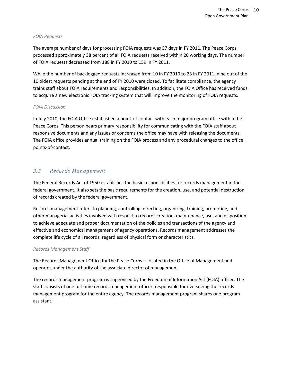#### *FOIA Requests*

The average number of days for processing FOIA requests was 37 days in FY 2011. The Peace Corps processed approximately 38 percent of all FOIA requests received within 20 working days. The number of FOIA requests decreased from 188 in FY 2010 to 159 in FY 2011.

While the number of backlogged requests increased from 10 in FY 2010 to 23 in FY 2011, nine out of the 10 oldest requests pending at the end of FY 2010 were closed. To facilitate compliance, the agency trains staff about FOIA requirements and responsibilities. In addition, the FOIA Office has received funds to acquire a new electronic FOIA tracking system that will improve the monitoring of FOIA requests.

#### *FOIA Discussion*

In July 2010, the FOIA Office established a point-of-contact with each major program office within the Peace Corps. This person bears primary responsibility for communicating with the FOIA staff about responsive documents and any issues or concerns the office may have with releasing the documents. The FOIA office provides annual training on the FOIA process and any procedural changes to the office points-of-contact.

### *3.5 Records Management*

The Federal Records Act of 1950 establishes the basic responsibilities for records management in the federal government. It also sets the basic requirements for the creation, use, and potential destruction of records created by the federal government.

Records management refers to planning, controlling, directing, organizing, training, promoting, and other managerial activities involved with respect to records creation, maintenance, use, and disposition to achieve adequate and proper documentation of the policies and transactions of the agency and effective and economical management of agency operations. Records management addresses the complete life cycle of all records, regardless of physical form or characteristics.

#### *Records Management Staff*

The Records Management Office for the Peace Corps is located in the Office of Management and operates under the authority of the associate director of management.

The records management program is supervised by the Freedom of Information Act (FOIA) officer. The staff consists of one full-time records management officer, responsible for overseeing the records management program for the entire agency. The records management program shares one program assistant.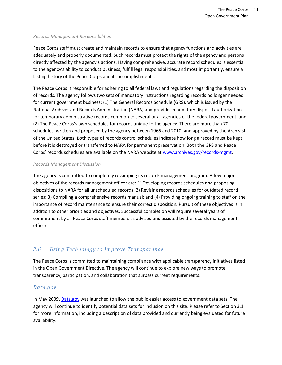#### *Records Management Responsibilities*

Peace Corps staff must create and maintain records to ensure that agency functions and activities are adequately and properly documented. Such records must protect the rights of the agency and persons directly affected by the agency's actions. Having comprehensive, accurate record schedules is essential to the agency's ability to conduct business, fulfill legal responsibilities, and most importantly, ensure a lasting history of the Peace Corps and its accomplishments.

The Peace Corps is responsible for adhering to all federal laws and regulations regarding the disposition of records. The agency follows two sets of mandatory instructions regarding records no longer needed for current government business: (1) The General Records Schedule (GRS), which is issued by the National Archives and Records Administration (NARA) and provides mandatory disposal authorization for temporary administrative records common to several or all agencies of the federal government; and (2) The Peace Corps's own schedules for records unique to the agency. There are more than 70 schedules, written and proposed by the agency between 1966 and 2010, and approved by the Archivist of the United States. Both types of records control schedules indicate how long a record must be kept before it is destroyed or transferred to NARA for permanent preservation. Both the GRS and Peace Corps' records schedules are available on the NARA website at [www.archives.gov/records-mgmt.](http://www.archives.gov/records-mgmt)

#### *Records Management Discussion*

The agency is committed to completely revamping its records management program. A few major objectives of the records management officer are: 1) Developing records schedules and proposing dispositions to NARA for all unscheduled records; 2) Revising records schedules for outdated record series; 3) Compiling a comprehensive records manual; and (4) Providing ongoing training to staff on the importance of record maintenance to ensure their correct disposition. Pursuit of these objectives is in addition to other priorities and objectives. Successful completion will require several years of commitment by all Peace Corps staff members as advised and assisted by the records management officer.

### *3.6 Using Technology to Improve Transparency*

The Peace Corps is committed to maintaining compliance with applicable transparency initiatives listed in the Open Government Directive. The agency will continue to explore new ways to promote transparency, participation, and collaboration that surpass current requirements.

### *Data.gov*

In May 2009[, Data.gov](http://www.data.gov/) was launched to allow the public easier access to government data sets. The agency will continue to identify potential data sets for inclusion on this site. Please refer to Section 3.1 for more information, including a description of data provided and currently being evaluated for future availability.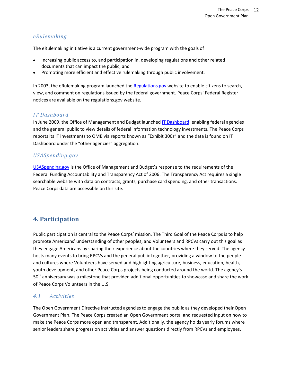### *eRulemaking*

The eRulemaking initiative is a current government-wide program with the goals of

- Increasing public access to, and participation in, developing regulations and other related documents that can impact the public; and
- Promoting more efficient and effective rulemaking through public involvement.

In 2003, the eRulemaking program launched the [Regulations.gov](http://www.regulations.gov/) website to enable citizens to search, view, and comment on regulations issued by the federal government. Peace Corps' Federal Register notices are available on the regulations.gov website.

### *IT Dashboard*

In June 2009, the Office of Management and Budget launche[d IT Dashboard,](http://it.usaspending.gov/) enabling federal agencies and the general public to view details of federal information technology investments. The Peace Corps reports its IT investments to OMB via reports known as "Exhibit 300s" and the data is found on IT Dashboard under the "other agencies" aggregation.

### *USASpending.gov*

[USASpending.gov](http://www.usaspending.gov/) is the Office of Management and Budget's response to the requirements of the Federal Funding Accountability and Transparency Act of 2006. The Transparency Act requires a single searchable website with data on contracts, grants, purchase card spending, and other transactions. Peace Corps data are accessible on this site.

# **4. Participation**

Public participation is central to the Peace Corps' mission. The Third Goal of the Peace Corps is to help promote Americans' understanding of other peoples, and Volunteers and RPCVs carry out this goal as they engage Americans by sharing their experience about the countries where they served. The agency hosts many events to bring RPCVs and the general public together, providing a window to the people and cultures where Volunteers have served and highlighting agriculture, business, education, health, youth development, and other Peace Corps projects being conducted around the world. The agency's 50<sup>th</sup> anniversary was a milestone that provided additional opportunities to showcase and share the work of Peace Corps Volunteers in the U.S.

### *4.1 Activities*

The Open Government Directive instructed agencies to engage the public as they developed their Open Government Plan. The Peace Corps created an Open Government portal and requested input on how to make the Peace Corps more open and transparent. Additionally, the agency holds yearly forums where senior leaders share progress on activities and answer questions directly from RPCVs and employees.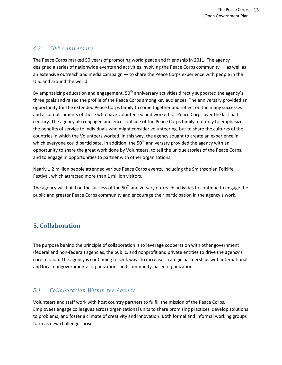### *4.2 50th Anniversary*

The Peace Corps marked 50 years of promoting world peace and friendship in 2011. The agency designed a series of nationwide events and activities involving the Peace Corps community — as well as an extensive outreach and media campaign — to share the Peace Corps experience with people in the U.S. and around the world.

By emphasizing education and engagement,  $50<sup>th</sup>$  anniversary activities directly supported the agency's three goals and raised the profile of the Peace Corps among key audiences. The anniversary provided an opportunity for the extended Peace Corps family to come together and reflect on the many successes and accomplishments of those who have volunteered and worked for Peace Corps over the last half century. The agency also engaged audiences outside of the Peace Corps family, not only to emphasize the benefits of service to individuals who might consider volunteering, but to share the cultures of the countries in which the Volunteers worked. In this way, the agency sought to create an experience in which everyone could participate. In addition, the  $50<sup>th</sup>$  anniversary provided the agency with an opportunity to share the great work done by Volunteers, to tell the unique stories of the Peace Corps, and to engage in opportunities to partner with other organizations.

Nearly 1.2 million people attended various Peace Corps events, including the Smithsonian Folklife Festival, which attracted more than 1 million visitors.

The agency will build on the success of the  $50<sup>th</sup>$  anniversary outreach activities to continue to engage the public and greater Peace Corps community and encourage their participation in the agency's work.

# **5. Collaboration**

The purpose behind the principle of collaboration is to leverage cooperation with other government (federal and non-federal) agencies, the public, and nonprofit and private entities to drive the agency's core mission. The agency is continuing to seek ways to increase strategic partnerships with international and local nongovernmental organizations and community-based organizations.

# *5.1 Collaboration Within the Agency*

Volunteers and staff work with host country partners to fulfill the mission of the Peace Corps. Employees engage colleagues across organizational units to share promising practices, develop solutions to problems, and foster a climate of creativity and innovation. Both formal and informal working groups form as new challenges arise.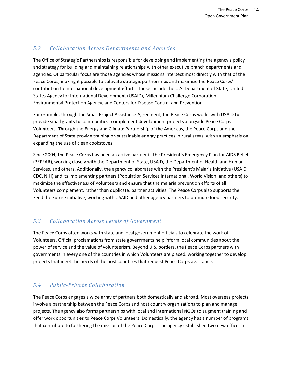### *5.2 Collaboration Across Departments and Agencies*

The Office of Strategic Partnerships is responsible for developing and implementing the agency's policy and strategy for building and maintaining relationships with other executive branch departments and agencies. Of particular focus are those agencies whose missions intersect most directly with that of the Peace Corps, making it possible to cultivate strategic partnerships and maximize the Peace Corps' contribution to international development efforts. These include the U.S. Department of State, United States Agency for International Development (USAID), Millennium Challenge Corporation, Environmental Protection Agency, and Centers for Disease Control and Prevention.

For example, through the Small Project Assistance Agreement, the Peace Corps works with USAID to provide small grants to communities to implement development projects alongside Peace Corps Volunteers. Through the Energy and Climate Partnership of the Americas, the Peace Corps and the Department of State provide training on sustainable energy practices in rural areas, with an emphasis on expanding the use of clean cookstoves.

Since 2004, the Peace Corps has been an active partner in the President's Emergency Plan for AIDS Relief (PEPFAR), working closely with the Department of State, USAID, the Department of Health and Human Services, and others. Additionally, the agency collaborates with the President's Malaria Initiative (USAID, CDC, NIH) and its implementing partners (Population Services International, World Vision, and others) to maximize the effectiveness of Volunteers and ensure that the malaria prevention efforts of all Volunteers complement, rather than duplicate, partner activities. The Peace Corps also supports the Feed the Future initiative, working with USAID and other agency partners to promote food security.

# *5.3 Collaboration Across Levels of Government*

The Peace Corps often works with state and local government officials to celebrate the work of Volunteers. Official proclamations from state governments help inform local communities about the power of service and the value of volunteerism. Beyond U.S. borders, the Peace Corps partners with governments in every one of the countries in which Volunteers are placed, working together to develop projects that meet the needs of the host countries that request Peace Corps assistance.

# *5.4 Public-Private Collaboration*

The Peace Corps engages a wide array of partners both domestically and abroad. Most overseas projects involve a partnership between the Peace Corps and host country organizations to plan and manage projects. The agency also forms partnerships with local and international NGOs to augment training and offer work opportunities to Peace Corps Volunteers. Domestically, the agency has a number of programs that contribute to furthering the mission of the Peace Corps. The agency established two new offices in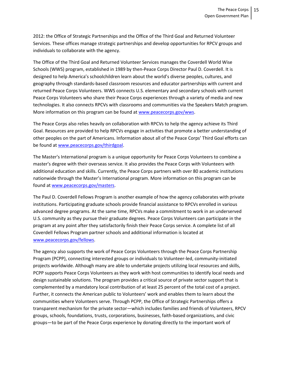2012: the Office of Strategic Partnerships and the Office of the Third Goal and Returned Volunteer Services. These offices manage strategic partnerships and develop opportunities for RPCV groups and individuals to collaborate with the agency.

The Office of the Third Goal and Returned Volunteer Services manages the Coverdell World Wise Schools (WWS) program, established in 1989 by then-Peace Corps Director Paul D. Coverdell. It is designed to help America's schoolchildren learn about the world's diverse peoples, cultures, and geography through standards-based classroom resources and educator partnerships with current and returned Peace Corps Volunteers. WWS connects U.S. elementary and secondary schools with current Peace Corps Volunteers who share their Peace Corps experiences through a variety of media and new technologies. It also connects RPCVs with classrooms and communities via the Speakers Match program. More information on this program can be found at [www.peacecorps.gov/wws.](http://www.peacecorps.gov/wws)

The Peace Corps also relies heavily on collaboration with RPCVs to help the agency achieve its Third Goal. Resources are provided to help RPCVs engage in activities that promote a better understanding of other peoples on the part of Americans. Information about all of the Peace Corps' Third Goal efforts can be found at [www.peacecorps.gov/thirdgoal.](http://www.peacecorps.gov/thirdgoal)

The Master's International program is a unique opportunity for Peace Corps Volunteers to combine a master's degree with their overseas service. It also provides the Peace Corps with Volunteers with additional education and skills. Currently, the Peace Corps partners with over 80 academic institutions nationwide through the Master's International program. More information on this program can be found a[t www.peacecorps.gov/masters.](http://www.peacecorps.gov/masters)

The Paul D. Coverdell Fellows Program is another example of how the agency collaborates with private institutions. Participating graduate schools provide financial assistance to RPCVs enrolled in various advanced degree programs. At the same time, RPCVs make a commitment to work in an underserved U.S. community as they pursue their graduate degrees. Peace Corps Volunteers can participate in the program at any point after they satisfactorily finish their Peace Corps service. A complete list of all Coverdell Fellows Program partner schools and additional information is located at [www.peacecorps.gov/fellows.](http://www.peacecorps.gov/fellows)

The agency also supports the work of Peace Corps Volunteers through the Peace Corps Partnership Program (PCPP), connecting interested groups or individuals to Volunteer-led, community-initiated projects worldwide. Although many are able to undertake projects utilizing local resources and skills, PCPP supports Peace Corps Volunteers as they work with host communities to identify local needs and design sustainable solutions. The program provides a critical source of private sector support that is complemented by a mandatory local contribution of at least 25 percent of the total cost of a project. Further, it connects the American public to Volunteers' work and enables them to learn about the communities where Volunteers serve. Through PCPP, the Office of Strategic Partnerships offers a transparent mechanism for the private sector—which includes families and friends of Volunteers, RPCV groups, schools, foundations, trusts, corporations, businesses, faith-based organizations, and civic groups—to be part of the Peace Corps experience by donating directly to the important work of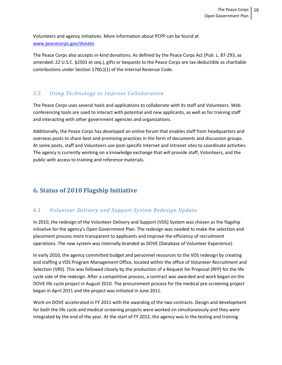Volunteers and agency initiatives. More information about PCPP can be found at [www.peacecorps.gov/donate.](http://www.peacecorps.gov/donate)

The Peace Corps also accepts in-kind donations. As defined by the Peace Corps Act (Pub. L. 87-293, as amended: 22 U.S.C. §2501 et seq.), gifts or bequests to the Peace Corps are tax-deductible as charitable contributions under Section 170(c)(1) of the Internal Revenue Code.

### *5.5 Using Technology to Improve Collaboration*

The Peace Corps uses several tools and applications to collaborate with its staff and Volunteers. Web conferencing tools are used to interact with potential and new applicants, as well as for training staff and interacting with other government agencies and organizations.

Additionally, the Peace Corps has developed an online forum that enables staff from headquarters and overseas posts to share best and promising practices in the form of documents and discussion groups. At some posts, staff and Volunteers use post-specific Internet and Intranet sites to coordinate activities. The agency is currently working on a knowledge exchange that will provide staff, Volunteers, and the public with access to training and reference materials.

# **6. Status of 2010 Flagship Initiative**

# *6.1 Volunteer Delivery and Support System Redesign Update*

In 2010, the redesign of the Volunteer Delivery and Support (VDS) System was chosen as the flagship initiative for the agency's Open Government Plan. The redesign was needed to make the selection and placement process more transparent to applicants and improve the efficiency of recruitment operations. The new system was internally branded as DOVE (Database of Volunteer Experience).

In early 2010, the agency committed budget and personnel resources to the VDS redesign by creating and staffing a VDS Program Management Office, located within the office of Volunteer Recruitment and Selection (VRS). This was followed closely by the production of a Request for Proposal (RFP) for the life cycle side of the redesign. After a competitive process, a contract was awarded and work began on the DOVE life cycle project in August 2010. The procurement process for the medical pre-screening project began in April 2011 and the project was initiated in June 2011.

Work on DOVE accelerated in FY 2011 with the awarding of the two contracts. Design and development for both the life cycle and medical screening projects were worked on simultaneously and they were integrated by the end of the year. At the start of FY 2012, the agency was in the testing and training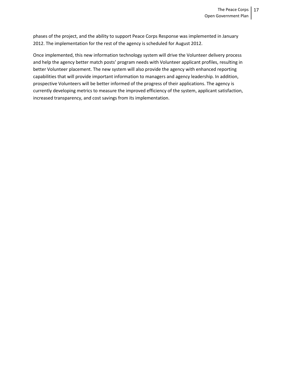phases of the project, and the ability to support Peace Corps Response was implemented in January 2012. The implementation for the rest of the agency is scheduled for August 2012.

Once implemented, this new information technology system will drive the Volunteer delivery process and help the agency better match posts' program needs with Volunteer applicant profiles, resulting in better Volunteer placement. The new system will also provide the agency with enhanced reporting capabilities that will provide important information to managers and agency leadership. In addition, prospective Volunteers will be better informed of the progress of their applications. The agency is currently developing metrics to measure the improved efficiency of the system, applicant satisfaction, increased transparency, and cost savings from its implementation.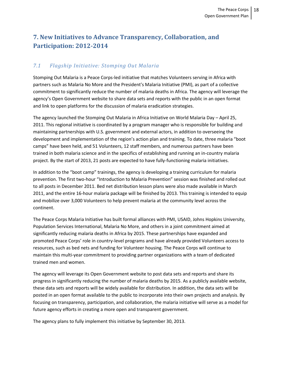# **7. New Initiatives to Advance Transparency, Collaboration, and Participation: 2012-2014**

# *7.1 Flagship Initiative: Stomping Out Malaria*

Stomping Out Malaria is a Peace Corps-led initiative that matches Volunteers serving in Africa with partners such as Malaria No More and the President's Malaria Initiative (PMI), as part of a collective commitment to significantly reduce the number of malaria deaths in Africa. The agency will leverage the agency's Open Government website to share data sets and reports with the public in an open format and link to open platforms for the discussion of malaria eradication strategies.

The agency launched the Stomping Out Malaria in Africa Initiative on World Malaria Day – April 25, 2011. This regional initiative is coordinated by a program manager who is responsible for building and maintaining partnerships with U.S. government and external actors, in addition to overseeing the development and implementation of the region's action plan and training. To date, three malaria "boot camps" have been held, and 51 Volunteers, 12 staff members, and numerous partners have been trained in both malaria science and in the specifics of establishing and running an in-country malaria project. By the start of 2013, 21 posts are expected to have fully-functioning malaria initiatives.

In addition to the "boot camp" trainings, the agency is developing a training curriculum for malaria prevention. The first two-hour "Introduction to Malaria Prevention" session was finished and rolled out to all posts in December 2011. Bed net distribution lesson plans were also made available in March 2011, and the entire 16-hour malaria package will be finished by 2013. This training is intended to equip and mobilize over 3,000 Volunteers to help prevent malaria at the community level across the continent.

The Peace Corps Malaria Initiative has built formal alliances with PMI, USAID, Johns Hopkins University, Population Services International, Malaria No More, and others in a joint commitment aimed at significantly reducing malaria deaths in Africa by 2015. These partnerships have expanded and promoted Peace Corps' role in country-level programs and have already provided Volunteers access to resources, such as bed nets and funding for Volunteer housing. The Peace Corps will continue to maintain this multi-year commitment to providing partner organizations with a team of dedicated trained men and women.

The agency will leverage its Open Government website to post data sets and reports and share its progress in significantly reducing the number of malaria deaths by 2015. As a publicly available website, these data sets and reports will be widely available for distribution. In addition, the data sets will be posted in an open format available to the public to incorporate into their own projects and analysis. By focusing on transparency, participation, and collaboration, the malaria initiative will serve as a model for future agency efforts in creating a more open and transparent government.

The agency plans to fully implement this initiative by September 30, 2013.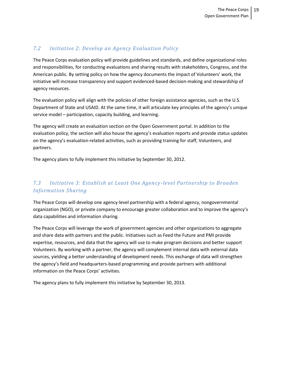## *7.2 Initiative 2: Develop an Agency Evaluation Policy*

The Peace Corps evaluation policy will provide guidelines and standards, and define organizational roles and responsibilities, for conducting evaluations and sharing results with stakeholders, Congress, and the American public. By setting policy on how the agency documents the impact of Volunteers' work, the initiative will increase transparency and support evidenced-based decision-making and stewardship of agency resources.

The evaluation policy will align with the policies of other foreign assistance agencies, such as the U.S. Department of State and USAID. At the same time, it will articulate key principles of the agency's unique service model – participation, capacity building, and learning.

The agency will create an evaluation section on the Open Government portal. In addition to the evaluation policy, the section will also house the agency's evaluation reports and provide status updates on the agency's evaluation-related activities, such as providing training for staff, Volunteers, and partners.

The agency plans to fully implement this initiative by September 30, 2012.

# *7.3 Initiative 3: Establish at Least One Agency-level Partnership to Broaden Information Sharing*

The Peace Corps will develop one agency-level partnership with a federal agency, nongovernmental organization (NGO), or private company to encourage greater collaboration and to improve the agency's data capabilities and information sharing.

The Peace Corps will leverage the work of government agencies and other organizations to aggregate and share data with partners and the public. Initiatives such as Feed the Future and PMI provide expertise, resources, and data that the agency will use to make program decisions and better support Volunteers. By working with a partner, the agency will complement internal data with external data sources, yielding a better understanding of development needs. This exchange of data will strengthen the agency's field and headquarters-based programming and provide partners with additional information on the Peace Corps' activities.

The agency plans to fully implement this initiative by September 30, 2013.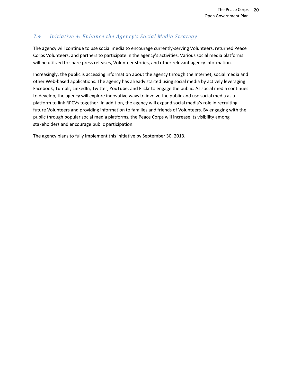## *7.4 Initiative 4: Enhance the Agency's Social Media Strategy*

The agency will continue to use social media to encourage currently-serving Volunteers, returned Peace Corps Volunteers, and partners to participate in the agency's activities. Various social media platforms will be utilized to share press releases, Volunteer stories, and other relevant agency information.

Increasingly, the public is accessing information about the agency through the Internet, social media and other Web-based applications. The agency has already started using social media by actively leveraging Facebook, Tumblr, LinkedIn, Twitter, YouTube, and Flickr to engage the public. As social media continues to develop, the agency will explore innovative ways to involve the public and use social media as a platform to link RPCVs together. In addition, the agency will expand social media's role in recruiting future Volunteers and providing information to families and friends of Volunteers. By engaging with the public through popular social media platforms, the Peace Corps will increase its visibility among stakeholders and encourage public participation.

The agency plans to fully implement this initiative by September 30, 2013.